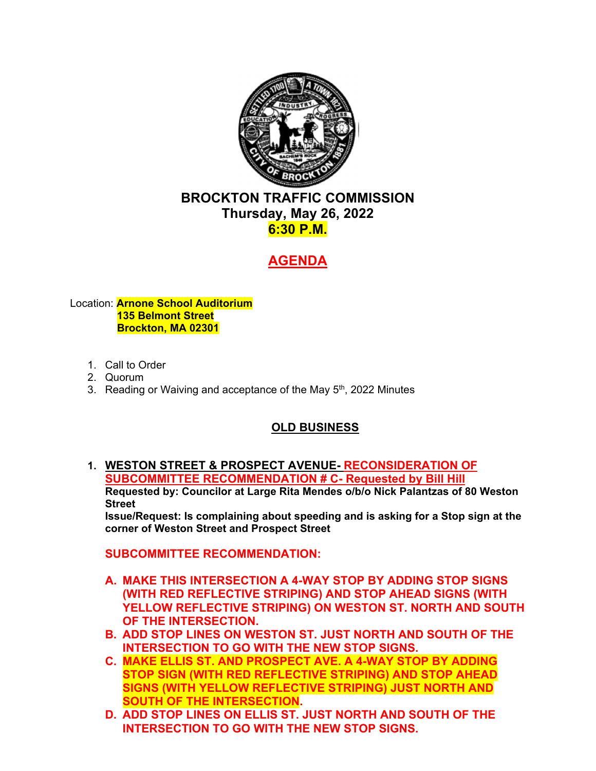

# <sub>I RA</sub><br>ay,<br><mark>6:30</mark><br>AGI **BROCKTON TRAFFIC COMMISSION Thursday, May 26, 2022 6:30 P.M.**

# **AGENDA**

#### Location: **Arnone School Auditorium 135 Belmont Street Brockton, MA 02301**

- 1. Call to Order
- 2. Quorum
- 3. Reading or Waiving and acceptance of the May 5<sup>th</sup>, 2022 Minutes

# **OLD BUSINESS**

**1. WESTON STREET & PROSPECT AVENUE- RECONSIDERATION OF SUBCOMMITTEE RECOMMENDATION # C- Requested by Bill Hill Requested by: Councilor at Large Rita Mendes o/b/o Nick Palantzas of 80 Weston Street** 

**Issue/Request: Is complaining about speeding and is asking for a Stop sign at the corner of Weston Street and Prospect Street** 

**SUBCOMMITTEE RECOMMENDATION:** 

- **A. MAKE THIS INTERSECTION A 4-WAY STOP BY ADDING STOP SIGNS (WITH RED REFLECTIVE STRIPING) AND STOP AHEAD SIGNS (WITH YELLOW REFLECTIVE STRIPING) ON WESTON ST. NORTH AND SOUTH OF THE INTERSECTION.**
- **B. ADD STOP LINES ON WESTON ST. JUST NORTH AND SOUTH OF THE INTERSECTION TO GO WITH THE NEW STOP SIGNS.**
- **C. MAKE ELLIS ST. AND PROSPECT AVE. A 4-WAY STOP BY ADDING STOP SIGN (WITH RED REFLECTIVE STRIPING) AND STOP AHEAD SIGNS (WITH YELLOW REFLECTIVE STRIPING) JUST NORTH AND SOUTH OF THE INTERSECTION.**
- **D. ADD STOP LINES ON ELLIS ST. JUST NORTH AND SOUTH OF THE INTERSECTION TO GO WITH THE NEW STOP SIGNS.**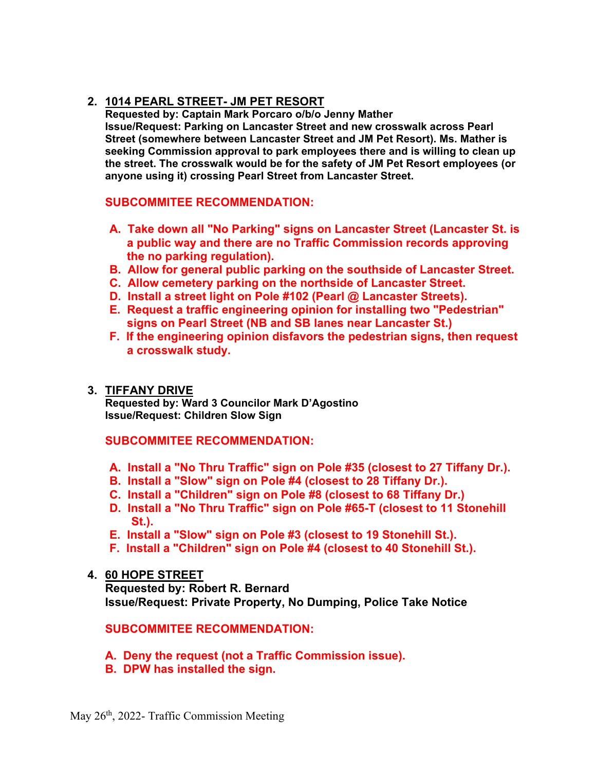# **2. 1014 PEARL STREET- JM PET RESORT**

**Requested by: Captain Mark Porcaro o/b/o Jenny Mather Issue/Request: Parking on Lancaster Street and new crosswalk across Pearl Street (somewhere between Lancaster Street and JM Pet Resort). Ms. Mather is seeking Commission approval to park employees there and is willing to clean up the street. The crosswalk would be for the safety of JM Pet Resort employees (or anyone using it) crossing Pearl Street from Lancaster Street.** 

# **SUBCOMMITEE RECOMMENDATION:**

- **A. Take down all "No Parking" signs on Lancaster Street (Lancaster St. is a public way and there are no Traffic Commission records approving the no parking regulation).**
- **B. Allow for general public parking on the southside of Lancaster Street.**
- **C. Allow cemetery parking on the northside of Lancaster Street.**
- **D. Install a street light on Pole #102 (Pearl @ Lancaster Streets).**
- **E. Request a traffic engineering opinion for installing two "Pedestrian" signs on Pearl Street (NB and SB lanes near Lancaster St.)**
- **F. If the engineering opinion disfavors the pedestrian signs, then request a crosswalk study.**

# **3. TIFFANY DRIVE**

**Issue/Request: Children Slow Sign Requested by: Ward 3 Councilor Mark D'Agostino** 

# **SUBCOMMITEE RECOMMENDATION:**

- **A. Install a "No Thru Traffic" sign on Pole #35 (closest to 27 Tiffany Dr.).**
- **B. Install a "Slow" sign on Pole #4 (closest to 28 Tiffany Dr.).**
- **C. Install a "Children" sign on Pole #8 (closest to 68 Tiffany Dr.)**
- **D. Install a "No Thru Traffic" sign on Pole #65-T (closest to 11 Stonehill St.).**
- **E. Install a "Slow" sign on Pole #3 (closest to 19 Stonehill St.).**
- **F. Install a "Children" sign on Pole #4 (closest to 40 Stonehill St.).**

# **4. 60 HOPE STREET**

**Requested by: Robert R. Bernard Issue/Request: Private Property, No Dumping, Police Take Notice** 

# **SUBCOMMITEE RECOMMENDATION:**

- **A. Deny the request (not a Traffic Commission issue).**
- **B. DPW has installed the sign.**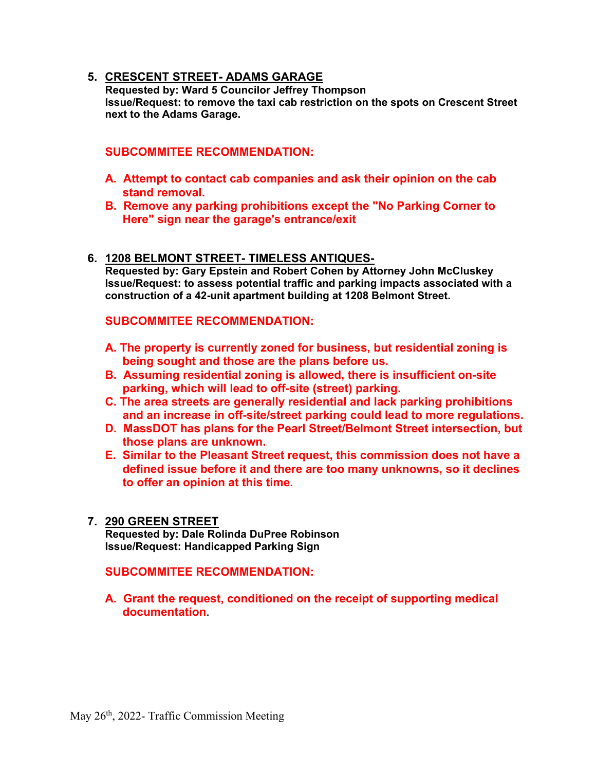# **5. CRESCENT STREET- ADAMS GARAGE**

**Requested by: Ward 5 Councilor Jeffrey Thompson Issue/Request: to remove the taxi cab restriction on the spots on Crescent Street next to the Adams Garage.** 

# **SUBCOMMITEE RECOMMENDATION:**

- **A. Attempt to contact cab companies and ask their opinion on the cab stand removal.**
- **B. Remove any parking prohibitions except the "No Parking Corner to Here" sign near the garage's entrance/exit**
- **6. 1208 BELMONT STREET- TIMELESS ANTIQUES-**

**Requested by: Gary Epstein and Robert Cohen by Attorney John McCluskey Issue/Request: to assess potential traffic and parking impacts associated with a construction of a 42-unit apartment building at 1208 Belmont Street.** 

# **SUBCOMMITEE RECOMMENDATION:**

- **A. The property is currently zoned for business, but residential zoning is being sought and those are the plans before us.**
- **B. Assuming residential zoning is allowed, there is insufficient on-site parking, which will lead to off-site (street) parking.**
- **C. The area streets are generally residential and lack parking prohibitions and an increase in off-site/street parking could lead to more regulations.**
- **D. MassDOT has plans for the Pearl Street/Belmont Street intersection, but those plans are unknown.**
- **E. Similar to the Pleasant Street request, this commission does not have a defined issue before it and there are too many unknowns, so it declines to offer an opinion at this time.**

#### **7. 290 GREEN STREET**

**Requested by: Dale Rolinda DuPree Robinson Issue/Request: Handicapped Parking Sign** 

**SUBCOMMITEE RECOMMENDATION:** 

**A. Grant the request, conditioned on the receipt of supporting medical documentation**.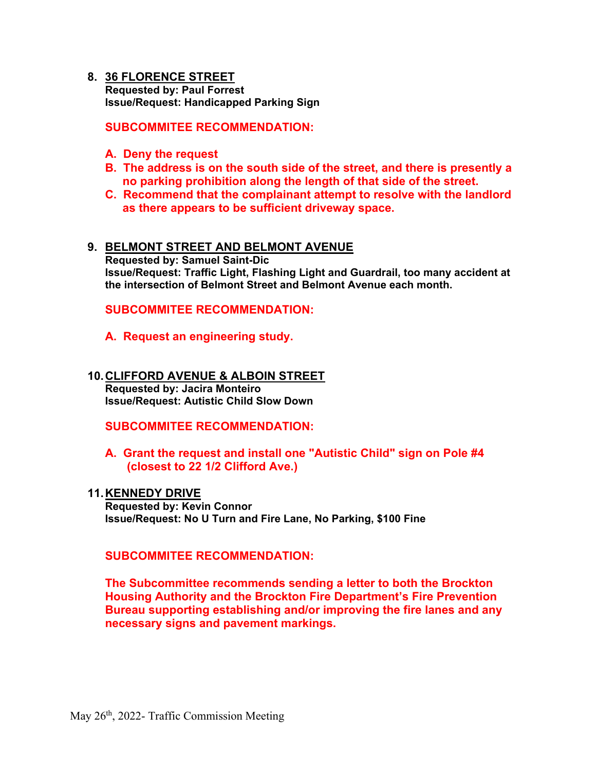#### **8. 36 FLORENCE STREET Requested by: Paul Forrest Issue/Request: Handicapped Parking Sign**

**SUBCOMMITEE RECOMMENDATION:** 

- **A. Deny the request**
- **B. The address is on the south side of the street, and there is presently a no parking prohibition along the length of that side of the street.**
- **C. Recommend that the complainant attempt to resolve with the landlord as there appears to be sufficient driveway space.**

#### **9. BELMONT STREET AND BELMONT AVENUE**

**Requested by: Samuel Saint-Dic Issue/Request: Traffic Light, Flashing Light and Guardrail, too many accident at the intersection of Belmont Street and Belmont Avenue each month.** 

**SUBCOMMITEE RECOMMENDATION:** 

**A. Request an engineering study.** 

# **10. CLIFFORD AVENUE & ALBOIN STREET Requested by: Jacira Monteiro**

**Issue/Request: Autistic Child Slow Down** 

**SUBCOMMITEE RECOMMENDATION:** 

# **A. Grant the request and install one "Autistic Child" sign on Pole #4 (closest to 22 1/2 Clifford Ave.)**

#### **11. KENNEDY DRIVE**

**Requested by: Kevin Connor Issue/Request: No U Turn and Fire Lane, No Parking, \$100 Fine** 

#### **SUBCOMMITEE RECOMMENDATION:**

**The Subcommittee recommends sending a letter to both the Brockton Housing Authority and the Brockton Fire Department's Fire Prevention Bureau supporting establishing and/or improving the fire lanes and any necessary signs and pavement markings.**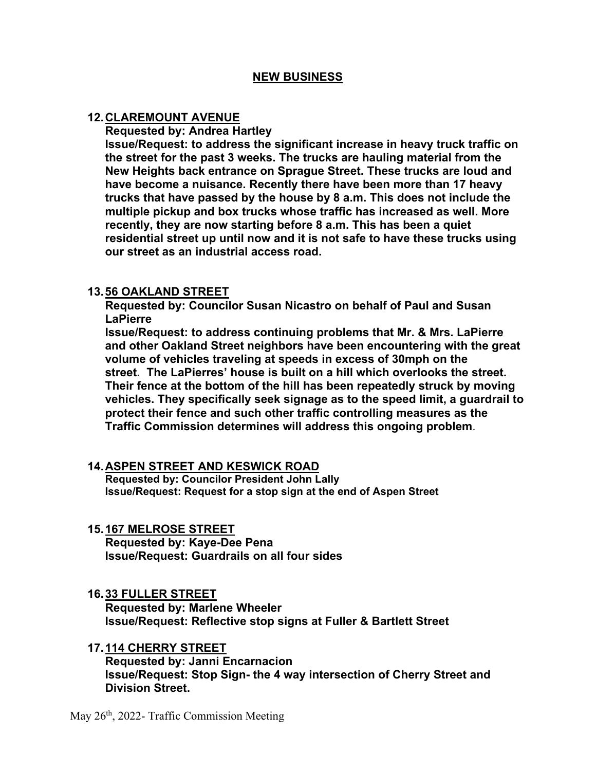# **NEW BUSINESS**

### **12. CLAREMOUNT AVENUE**

**Requested by: Andrea Hartley** 

**Issue/Request: to address the significant increase in heavy truck traffic on the street for the past 3 weeks. The trucks are hauling material from the New Heights back entrance on Sprague Street. These trucks are loud and have become a nuisance. Recently there have been more than 17 heavy trucks that have passed by the house by 8 a.m. This does not include the multiple pickup and box trucks whose traffic has increased as well. More recently, they are now starting before 8 a.m. This has been a quiet residential street up until now and it is not safe to have these trucks using our street as an industrial access road.** 

# **13. 56 OAKLAND STREET**

**Requested by: Councilor Susan Nicastro on behalf of Paul and Susan LaPierre** 

**Issue/Request: to address continuing problems that Mr. & Mrs. LaPierre and other Oakland Street neighbors have been encountering with the great volume of vehicles traveling at speeds in excess of 30mph on the street. The LaPierres' house is built on a hill which overlooks the street. Their fence at the bottom of the hill has been repeatedly struck by moving vehicles. They specifically seek signage as to the speed limit, a guardrail to protect their fence and such other traffic controlling measures as the Traffic Commission determines will address this ongoing problem**.

# **14. ASPEN STREET AND KESWICK ROAD**

**Requested by: Councilor President John Lally Issue/Request: Request for a stop sign at the end of Aspen Street** 

# **15. 167 MELROSE STREET**

**Requested by: Kaye-Dee Pena Issue/Request: Guardrails on all four sides** 

# **16. 33 FULLER STREET**

**Requested by: Marlene Wheeler Issue/Request: Reflective stop signs at Fuller & Bartlett Street** 

**17. 114 CHERRY STREET** 

**Requested by: Janni Encarnacion Issue/Request: Stop Sign- the 4 way intersection of Cherry Street and Division Street.** 

May 26<sup>th</sup>, 2022- Traffic Commission Meeting